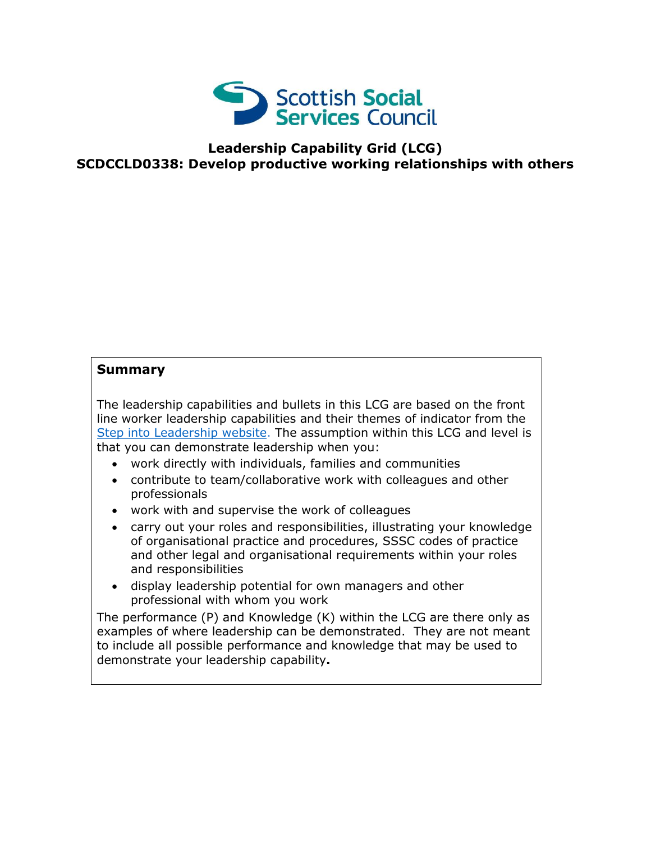

## **Leadership Capability Grid (LCG) SCDCCLD0338: Develop productive working relationships with others**

## **Summary**

The leadership capabilities and bullets in this LCG are based on the front line worker leadership capabilities and their themes of indicator from the [Step into Leadership website.](http://www.stepintoleadership.info/) The assumption within this LCG and level is that you can demonstrate leadership when you:

- work directly with individuals, families and communities
- contribute to team/collaborative work with colleagues and other professionals
- work with and supervise the work of colleagues
- carry out your roles and responsibilities, illustrating your knowledge of organisational practice and procedures, SSSC codes of practice and other legal and organisational requirements within your roles and responsibilities
- display leadership potential for own managers and other professional with whom you work

The performance (P) and Knowledge (K) within the LCG are there only as examples of where leadership can be demonstrated. They are not meant to include all possible performance and knowledge that may be used to demonstrate your leadership capability**.**